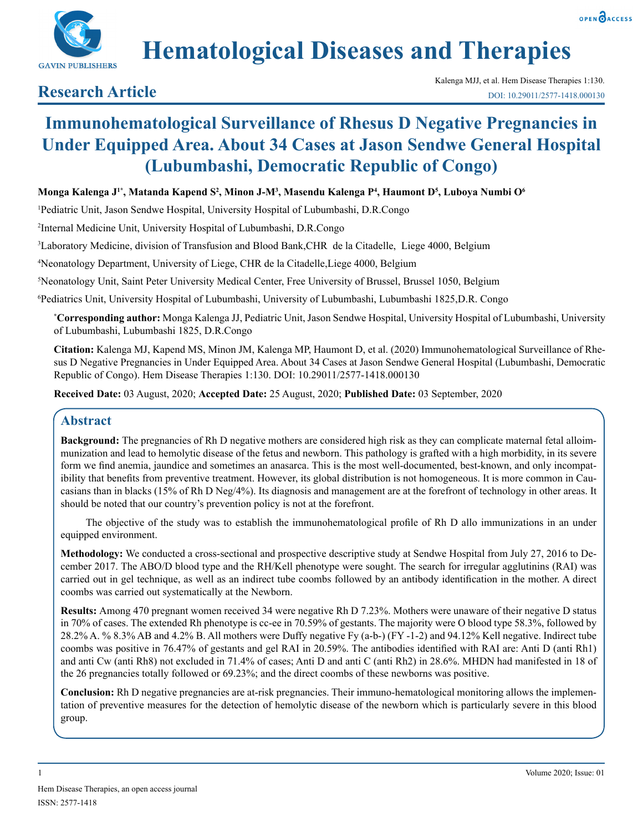



# **Hematological Diseases and Therapies**

# **Research Article**

# **Immunohematological Surveillance of Rhesus D Negative Pregnancies in Under Equipped Area. About 34 Cases at Jason Sendwe General Hospital (Lubumbashi, Democratic Republic of Congo)**

### **Monga Kalenga J1\*, Matanda Kapend S2 , Minon J-M3 , Masendu Kalenga P4 , Haumont D5 , Luboya Numbi O6**

1 Pediatric Unit, Jason Sendwe Hospital, University Hospital of Lubumbashi, D.R.Congo

2 Internal Medicine Unit, University Hospital of Lubumbashi, D.R.Congo

3 Laboratory Medicine, division of Transfusion and Blood Bank,CHR de la Citadelle, Liege 4000, Belgium

4 Neonatology Department, University of Liege, CHR de la Citadelle,Liege 4000, Belgium

5 Neonatology Unit, Saint Peter University Medical Center, Free University of Brussel, Brussel 1050, Belgium

6 Pediatrics Unit, University Hospital of Lubumbashi, University of Lubumbashi, Lubumbashi 1825,D.R. Congo

**\* Corresponding author:** Monga Kalenga JJ, Pediatric Unit, Jason Sendwe Hospital, University Hospital of Lubumbashi, University of Lubumbashi, Lubumbashi 1825, D.R.Congo

**Citation:** Kalenga MJ, Kapend MS, Minon JM, Kalenga MP, Haumont D, et al. (2020) Immunohematological Surveillance of Rhesus D Negative Pregnancies in Under Equipped Area. About 34 Cases at Jason Sendwe General Hospital (Lubumbashi, Democratic Republic of Congo). Hem Disease Therapies 1:130. DOI: 10.29011/2577-1418.000130

**Received Date:** 03 August, 2020; **Accepted Date:** 25 August, 2020; **Published Date:** 03 September, 2020

# **Abstract**

**Background:** The pregnancies of Rh D negative mothers are considered high risk as they can complicate maternal fetal alloimmunization and lead to hemolytic disease of the fetus and newborn. This pathology is grafted with a high morbidity, in its severe form we find anemia, jaundice and sometimes an anasarca. This is the most well-documented, best-known, and only incompatibility that benefits from preventive treatment. However, its global distribution is not homogeneous. It is more common in Caucasians than in blacks (15% of Rh D Neg/4%). Its diagnosis and management are at the forefront of technology in other areas. It should be noted that our country's prevention policy is not at the forefront.

The objective of the study was to establish the immunohematological profile of Rh D allo immunizations in an under equipped environment.

**Methodology:** We conducted a cross-sectional and prospective descriptive study at Sendwe Hospital from July 27, 2016 to December 2017. The ABO/D blood type and the RH/Kell phenotype were sought. The search for irregular agglutinins (RAI) was carried out in gel technique, as well as an indirect tube coombs followed by an antibody identification in the mother. A direct coombs was carried out systematically at the Newborn.

**Results:** Among 470 pregnant women received 34 were negative Rh D 7.23%. Mothers were unaware of their negative D status in 70% of cases. The extended Rh phenotype is cc-ee in 70.59% of gestants. The majority were O blood type 58.3%, followed by 28.2% A. % 8.3% AB and 4.2% B. All mothers were Duffy negative Fy (a-b-) (FY -1-2) and 94.12% Kell negative. Indirect tube coombs was positive in 76.47% of gestants and gel RAI in 20.59%. The antibodies identified with RAI are: Anti D (anti Rh1) and anti Cw (anti Rh8) not excluded in 71.4% of cases; Anti D and anti C (anti Rh2) in 28.6%. MHDN had manifested in 18 of the 26 pregnancies totally followed or 69.23%; and the direct coombs of these newborns was positive.

**Conclusion:** Rh D negative pregnancies are at-risk pregnancies. Their immuno-hematological monitoring allows the implementation of preventive measures for the detection of hemolytic disease of the newborn which is particularly severe in this blood group.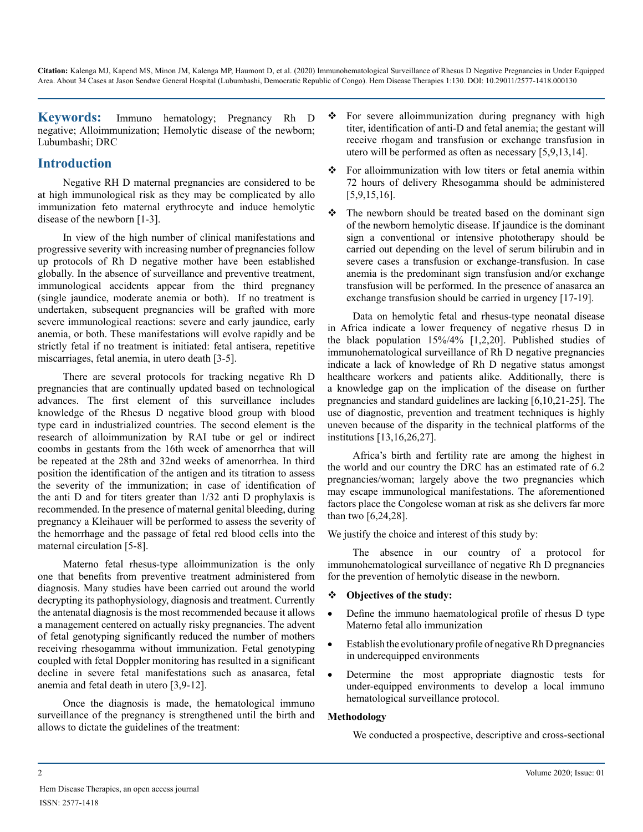**Keywords:** Immuno hematology; Pregnancy Rh D negative; Alloimmunization; Hemolytic disease of the newborn; Lubumbashi; DRC

# **Introduction**

Negative RH D maternal pregnancies are considered to be at high immunological risk as they may be complicated by allo immunization feto maternal erythrocyte and induce hemolytic disease of the newborn [1-3].

In view of the high number of clinical manifestations and progressive severity with increasing number of pregnancies follow up protocols of Rh D negative mother have been established globally. In the absence of surveillance and preventive treatment, immunological accidents appear from the third pregnancy (single jaundice, moderate anemia or both). If no treatment is undertaken, subsequent pregnancies will be grafted with more severe immunological reactions: severe and early jaundice, early anemia, or both. These manifestations will evolve rapidly and be strictly fetal if no treatment is initiated: fetal antisera, repetitive miscarriages, fetal anemia, in utero death [3-5].

There are several protocols for tracking negative Rh D pregnancies that are continually updated based on technological advances. The first element of this surveillance includes knowledge of the Rhesus D negative blood group with blood type card in industrialized countries. The second element is the research of alloimmunization by RAI tube or gel or indirect coombs in gestants from the 16th week of amenorrhea that will be repeated at the 28th and 32nd weeks of amenorrhea. In third position the identification of the antigen and its titration to assess the severity of the immunization; in case of identification of the anti D and for titers greater than 1/32 anti D prophylaxis is recommended. In the presence of maternal genital bleeding, during pregnancy a Kleihauer will be performed to assess the severity of the hemorrhage and the passage of fetal red blood cells into the maternal circulation [5-8].

Materno fetal rhesus-type alloimmunization is the only one that benefits from preventive treatment administered from diagnosis. Many studies have been carried out around the world decrypting its pathophysiology, diagnosis and treatment. Currently the antenatal diagnosis is the most recommended because it allows a management centered on actually risky pregnancies. The advent of fetal genotyping significantly reduced the number of mothers receiving rhesogamma without immunization. Fetal genotyping coupled with fetal Doppler monitoring has resulted in a significant decline in severe fetal manifestations such as anasarca, fetal anemia and fetal death in utero [3,9-12].

Once the diagnosis is made, the hematological immuno surveillance of the pregnancy is strengthened until the birth and allows to dictate the guidelines of the treatment:

- For severe alloimmunization during pregnancy with high titer, identification of anti-D and fetal anemia; the gestant will receive rhogam and transfusion or exchange transfusion in utero will be performed as often as necessary [5,9,13,14].
- For alloimmunization with low titers or fetal anemia within 72 hours of delivery Rhesogamma should be administered [5,9,15,16].
- $\div$  The newborn should be treated based on the dominant sign of the newborn hemolytic disease. If jaundice is the dominant sign a conventional or intensive phototherapy should be carried out depending on the level of serum bilirubin and in severe cases a transfusion or exchange-transfusion. In case anemia is the predominant sign transfusion and/or exchange transfusion will be performed. In the presence of anasarca an exchange transfusion should be carried in urgency [17-19].

Data on hemolytic fetal and rhesus-type neonatal disease in Africa indicate a lower frequency of negative rhesus D in the black population 15%/4% [1,2,20]. Published studies of immunohematological surveillance of Rh D negative pregnancies indicate a lack of knowledge of Rh D negative status amongst healthcare workers and patients alike. Additionally, there is a knowledge gap on the implication of the disease on further pregnancies and standard guidelines are lacking [6,10,21-25]. The use of diagnostic, prevention and treatment techniques is highly uneven because of the disparity in the technical platforms of the institutions [13,16,26,27].

Africa's birth and fertility rate are among the highest in the world and our country the DRC has an estimated rate of 6.2 pregnancies/woman; largely above the two pregnancies which may escape immunological manifestations. The aforementioned factors place the Congolese woman at risk as she delivers far more than two [6,24,28].

We justify the choice and interest of this study by:

The absence in our country of a protocol for immunohematological surveillance of negative Rh D pregnancies for the prevention of hemolytic disease in the newborn.

#### **Objectives of the study:**

- Define the immuno haematological profile of rhesus D type Materno fetal allo immunization
- Establish the evolutionary profile of negative Rh D pregnancies in underequipped environments
- • Determine the most appropriate diagnostic tests for under-equipped environments to develop a local immuno hematological surveillance protocol.

#### **Methodology**

We conducted a prospective, descriptive and cross-sectional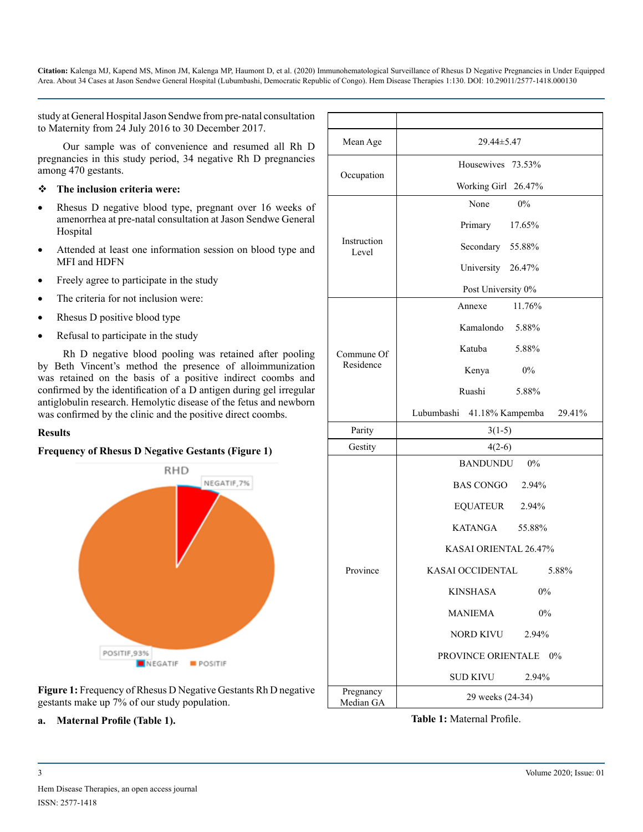study at General Hospital Jason Sendwe from pre-natal consultation to Maternity from 24 July 2016 to 30 December 2017.

Our sample was of convenience and resumed all Rh D pregnancies in this study period, 34 negative Rh D pregnancies among 470 gestants.

#### **The inclusion criteria were:**

- Rhesus D negative blood type, pregnant over 16 weeks of amenorrhea at pre-natal consultation at Jason Sendwe General Hospital
- Attended at least one information session on blood type and MFI and HDFN
- Freely agree to participate in the study
- The criteria for not inclusion were:
- Rhesus D positive blood type
- Refusal to participate in the study

Rh D negative blood pooling was retained after pooling by Beth Vincent's method the presence of alloimmunization was retained on the basis of a positive indirect coombs and confirmed by the identification of a D antigen during gel irregular antiglobulin research. Hemolytic disease of the fetus and newborn was confirmed by the clinic and the positive direct coombs.

#### **Results**

#### **Frequency of Rhesus D Negative Gestants (Figure 1)**



**Figure 1:** Frequency of Rhesus D Negative Gestants Rh D negative gestants make up 7% of our study population.

**a. Maternal Profile (Table 1).**

| Mean Age             | 29.44±5.47                              |  |  |
|----------------------|-----------------------------------------|--|--|
|                      | Housewives 73.53%                       |  |  |
| Occupation           | Working Girl 26.47%                     |  |  |
|                      | None<br>$0\%$                           |  |  |
|                      | Primary 17.65%                          |  |  |
| Instruction<br>Level | Secondary 55.88%                        |  |  |
|                      | University 26.47%                       |  |  |
|                      | Post University 0%                      |  |  |
|                      | 11.76%<br>Annexe                        |  |  |
|                      | Kamalondo 5.88%                         |  |  |
| Commune Of           | Katuba<br>5.88%                         |  |  |
| Residence            | $0\%$<br>Kenya                          |  |  |
|                      | Ruashi 5.88%                            |  |  |
|                      | Lubumbashi<br>41.18% Kampemba<br>29.41% |  |  |
| Parity               | $3(1-5)$                                |  |  |
| Gestity              | $4(2-6)$                                |  |  |
|                      | <b>BANDUNDU</b><br>$0\%$                |  |  |
|                      | BAS CONGO 2.94%                         |  |  |
|                      | <b>EQUATEUR</b><br>2.94%                |  |  |
|                      | <b>KATANGA</b><br>55.88%                |  |  |
|                      | KASAI ORIENTAL 26.47%                   |  |  |
| Province             | KASAI OCCIDENTAL<br>5.88%               |  |  |
|                      | <b>KINSHASA</b><br>$0\%$                |  |  |
|                      | <b>MANIEMA</b><br>0%                    |  |  |
|                      | NORD KIVU<br>2.94%                      |  |  |
|                      | PROVINCE ORIENTALE 0%                   |  |  |
|                      | <b>SUD KIVU</b><br>2.94%                |  |  |
|                      |                                         |  |  |

**Table 1:** Maternal Profile.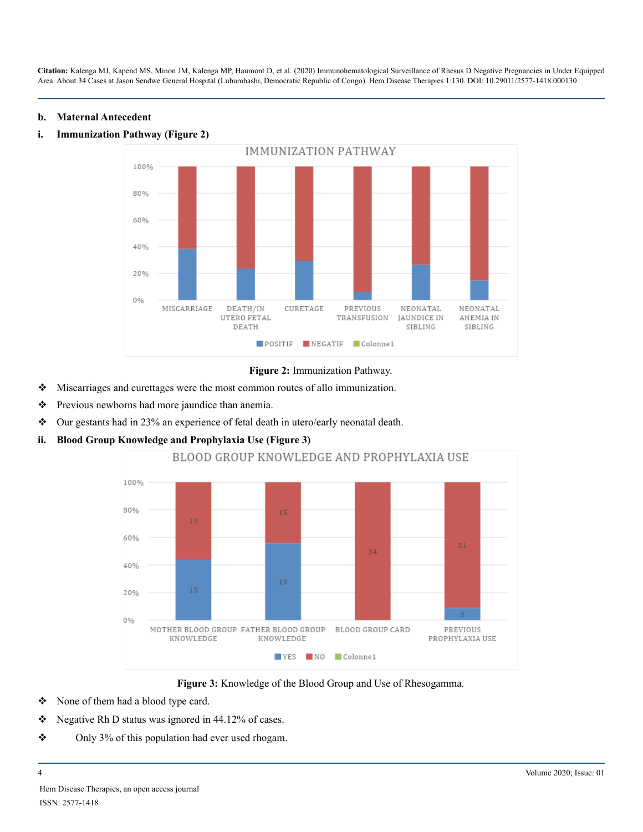#### **b. Maternal Antecedent**



#### **i. Immunization Pathway (Figure 2)**



- Miscarriages and curettages were the most common routes of allo immunization.
- **\*** Previous newborns had more jaundice than anemia.
- Our gestants had in 23% an experience of fetal death in utero/early neonatal death.
- **ii. Blood Group Knowledge and Prophylaxia Use (Figure 3)**



#### **Figure 3:** Knowledge of the Blood Group and Use of Rhesogamma.

- None of them had a blood type card.
- $\div$  Negative Rh D status was ignored in 44.12% of cases.
- $\div$  Only 3% of this population had ever used rhogam.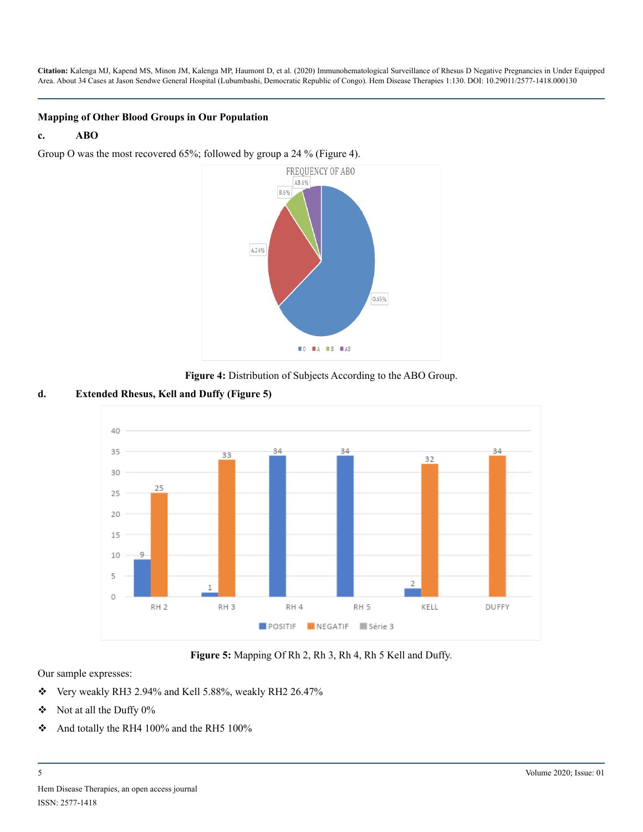#### **Mapping of Other Blood Groups in Our Population**

#### **c. ABO**

Group O was the most recovered 65%; followed by group a 24 % (Figure 4).



**Figure 4:** Distribution of Subjects According to the ABO Group.

#### **d. Extended Rhesus, Kell and Duffy (Figure 5)**



**Figure 5:** Mapping Of Rh 2, Rh 3, Rh 4, Rh 5 Kell and Duffy.

#### Our sample expresses:

- $\div$  Very weakly RH3 2.94% and Kell 5.88%, weakly RH2 26.47%
- $\div$  Not at all the Duffy 0%
- And totally the RH4 100% and the RH5 100%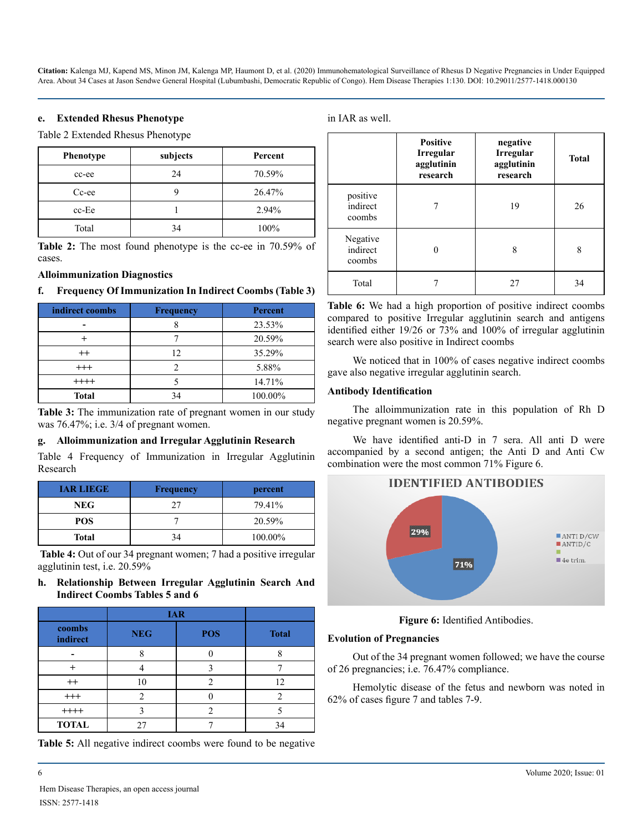#### **e. Extended Rhesus Phenotype**

Table 2 Extended Rhesus Phenotype

| <b>Phenotype</b> | subjects | Percent |
|------------------|----------|---------|
| cc-ee            | 24       | 70.59%  |
| Cc-ee            |          | 26.47%  |
| $cc$ -Ee         |          | 2.94%   |
| Total            | 34       | 100%    |

**Table 2:** The most found phenotype is the cc-ee in 70.59% of cases.

#### **Alloimmunization Diagnostics**

#### **f. Frequency Of Immunization In Indirect Coombs (Table 3)**

| indirect coombs | <b>Frequency</b> | <b>Percent</b> |
|-----------------|------------------|----------------|
|                 |                  | 23.53%         |
|                 |                  | 20.59%         |
| $^{++}$         | 12               | 35.29%         |
| $^{+++}$        |                  | 5.88%          |
| $++++$          |                  | 14.71%         |
| <b>Total</b>    |                  | 100.00%        |

**Table 3:** The immunization rate of pregnant women in our study was 76.47%; i.e. 3/4 of pregnant women.

#### **g. Alloimmunization and Irregular Agglutinin Research**

Table 4 Frequency of Immunization in Irregular Agglutinin Research

| <b>IAR LIEGE</b> | <b>Frequency</b> | percent |
|------------------|------------------|---------|
| <b>NEG</b>       | 27               | 79.41%  |
| <b>POS</b>       |                  | 20.59%  |
| Total            | 34               | 100.00% |

**Table 4:** Out of our 34 pregnant women; 7 had a positive irregular agglutinin test, i.e. 20.59%

**h. Relationship Between Irregular Agglutinin Search And Indirect Coombs Tables 5 and 6**

|                    | <b>IAR</b> |            |              |
|--------------------|------------|------------|--------------|
| coombs<br>indirect | <b>NEG</b> | <b>POS</b> | <b>Total</b> |
|                    |            |            |              |
|                    |            |            |              |
| $^{++}$            |            |            | 12           |
| $^{+++}$           |            |            |              |
| $++++$             |            |            |              |
| <b>TOTAL</b>       |            |            | 34           |

**Table 5:** All negative indirect coombs were found to be negative

in IAR as well.

|                                | <b>Positive</b><br>Irregular<br>agglutinin<br>research | negative<br>Irregular<br>agglutinin<br>research | <b>Total</b> |
|--------------------------------|--------------------------------------------------------|-------------------------------------------------|--------------|
| positive<br>indirect<br>coombs |                                                        | 19                                              | 26           |
| Negative<br>indirect<br>coombs |                                                        | 8                                               | 8            |
| Total                          |                                                        | 27                                              | 34           |

**Table 6:** We had a high proportion of positive indirect coombs compared to positive Irregular agglutinin search and antigens identified either 19/26 or 73% and 100% of irregular agglutinin search were also positive in Indirect coombs

We noticed that in 100% of cases negative indirect coombs gave also negative irregular agglutinin search.

#### **Antibody Identification**

The alloimmunization rate in this population of Rh D negative pregnant women is 20.59%.

We have identified anti-D in 7 sera. All anti D were accompanied by a second antigen; the Anti D and Anti Cw combination were the most common 71% Figure 6.



**Figure 6:** Identified Antibodies.

#### **Evolution of Pregnancies**

Out of the 34 pregnant women followed; we have the course of 26 pregnancies; i.e. 76.47% compliance.

Hemolytic disease of the fetus and newborn was noted in 62% of cases figure 7 and tables 7-9.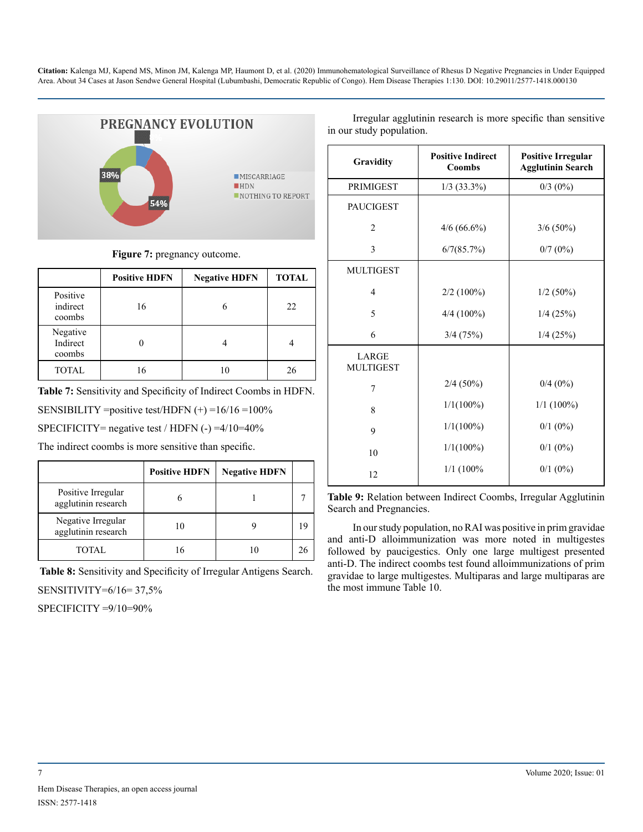

#### **Figure 7:** pregnancy outcome.

|                                | <b>Positive HDFN</b> | <b>Negative HDFN</b> | <b>TOTAL</b> |
|--------------------------------|----------------------|----------------------|--------------|
| Positive<br>indirect<br>coombs | 16                   | 6                    | 22           |
| Negative<br>Indirect<br>coombs |                      |                      |              |
| <b>TOTAL</b>                   | 16                   |                      | 26           |

**Table 7:** Sensitivity and Specificity of Indirect Coombs in HDFN.

SENSIBILITY = positive test/HDFN  $(+)$  = 16/16 = 100%

SPECIFICITY= negative test / HDFN  $(-) = 4/10 = 40\%$ 

The indirect coombs is more sensitive than specific.

|                                           | <b>Positive HDFN</b> | <b>Negative HDFN</b> |    |
|-------------------------------------------|----------------------|----------------------|----|
| Positive Irregular<br>agglutinin research |                      |                      |    |
| Negative Irregular<br>agglutinin research | 10                   |                      | 19 |
| <b>TOTAL</b>                              | 16                   |                      | 26 |

**Table 8:** Sensitivity and Specificity of Irregular Antigens Search.

SENSITIVITY=6/16= 37,5%

SPECIFICITY =9/10=90%

Irregular agglutinin research is more specific than sensitive in our study population.

| Gravidity                 | <b>Positive Indirect</b><br><b>Coombs</b> | <b>Positive Irregular</b><br><b>Agglutinin Search</b> |
|---------------------------|-------------------------------------------|-------------------------------------------------------|
| <b>PRIMIGEST</b>          | $1/3$ (33.3%)                             | $0/3$ $(0\%)$                                         |
| <b>PAUCIGEST</b>          |                                           |                                                       |
| $\overline{2}$            | $4/6(66.6\%)$                             | $3/6(50\%)$                                           |
| 3                         | 6/7(85.7%)                                | $0/7(0\%)$                                            |
| <b>MULTIGEST</b>          |                                           |                                                       |
| $\overline{4}$            | $2/2(100\%)$                              | $1/2$ (50%)                                           |
| 5                         | $4/4(100\%)$                              | $1/4$ (25%)                                           |
| 6                         | 3/4(75%)                                  | $1/4$ (25%)                                           |
| LARGE<br><b>MULTIGEST</b> |                                           |                                                       |
| 7                         | $2/4(50\%)$                               | $0/4$ $(0\%)$                                         |
| 8                         | $1/1(100\%)$                              | $1/1$ (100%)                                          |
| 9                         | $1/1(100\%)$                              | $0/1$ $(0\%)$                                         |
| 10                        | $1/1(100\%)$                              | $0/1$ $(0\%)$                                         |
| 12                        | $1/1$ (100%)                              | $0/1$ $(0\%)$                                         |
|                           |                                           |                                                       |

**Table 9:** Relation between Indirect Coombs, Irregular Agglutinin Search and Pregnancies.

In our study population, no RAI was positive in prim gravidae and anti-D alloimmunization was more noted in multigestes followed by paucigestics. Only one large multigest presented anti-D. The indirect coombs test found alloimmunizations of prim gravidae to large multigestes. Multiparas and large multiparas are the most immune Table 10.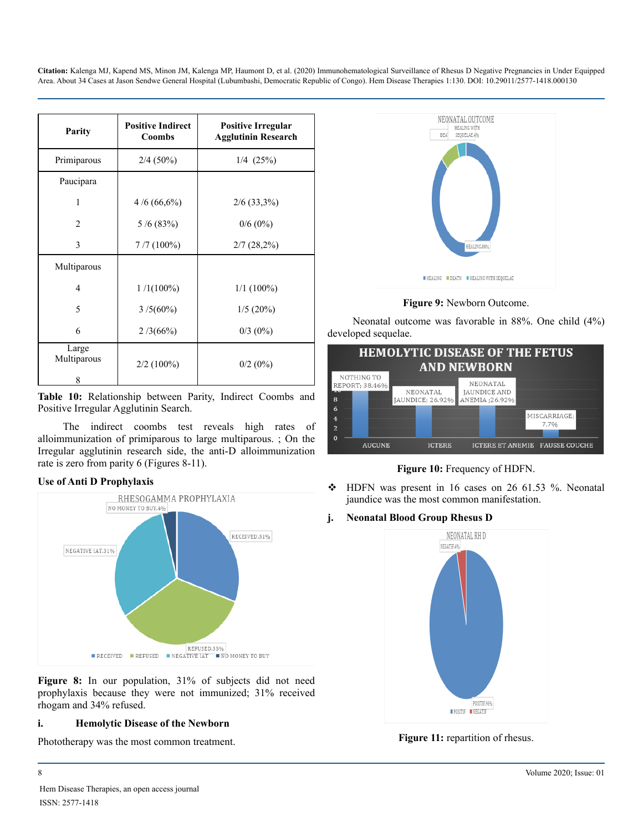| Parity               | <b>Positive Indirect</b><br><b>Coombs</b> | <b>Positive Irregular</b><br><b>Agglutinin Research</b> |
|----------------------|-------------------------------------------|---------------------------------------------------------|
| Primiparous          | $2/4(50\%)$                               | $1/4$ $(25%)$                                           |
| Paucipara            |                                           |                                                         |
| 1                    | $4/6(66,6\%)$                             | $2/6$ (33,3%)                                           |
| $\overline{2}$       | 5/6(83%)                                  | $0/6(0\%)$                                              |
| 3                    | $7/7(100\%)$                              | $2/7(28,2\%)$                                           |
| Multiparous          |                                           |                                                         |
| $\overline{4}$       | $1/1(100\%)$                              | $1/1$ (100%)                                            |
| 5                    | $3/5(60\%)$                               | $1/5(20\%)$                                             |
| 6                    | 2/3(66%)                                  | $0/3$ (0%)                                              |
| Large<br>Multiparous | $2/2$ (100%)                              | $0/2$ (0%)                                              |
| 8                    |                                           |                                                         |

**Table 10:** Relationship between Parity, Indirect Coombs and Positive Irregular Agglutinin Search.

The indirect coombs test reveals high rates of alloimmunization of primiparous to large multiparous. ; On the Irregular agglutinin research side, the anti-D alloimmunization rate is zero from parity 6 (Figures 8-11).

#### **Use of Anti D Prophylaxis**



**Figure 8:** In our population, 31% of subjects did not need prophylaxis because they were not immunized; 31% received rhogam and 34% refused.

#### **i. Hemolytic Disease of the Newborn**

Phototherapy was the most common treatment.



**Figure 9:** Newborn Outcome.

Neonatal outcome was favorable in 88%. One child (4%) developed sequelae.



**Figure 10:** Frequency of HDFN.

- $\div$  HDFN was present in 16 cases on 26 61.53 %. Neonatal jaundice was the most common manifestation.
- **j. Neonatal Blood Group Rhesus D**



**Figure 11:** repartition of rhesus.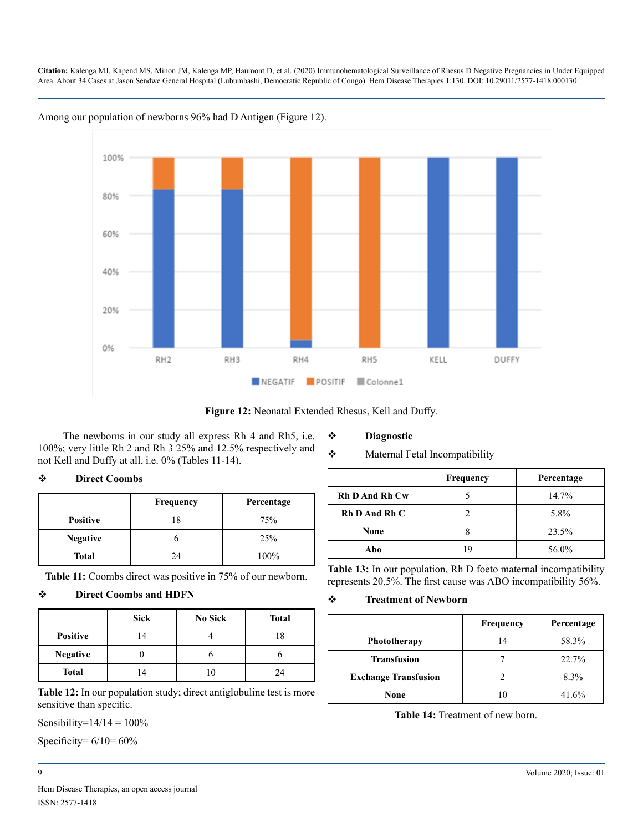

Among our population of newborns 96% had D Antigen (Figure 12).



The newborns in our study all express Rh 4 and Rh5, i.e.  $\cdot \cdot$ 100%; very little Rh 2 and Rh 3  $25%$  a not Kell and Duffy at all, i.e. 0% (Table

#### **Diagnostic**

#### aternal Fetal Incompatibility

|                 | Frequency | Percentage |
|-----------------|-----------|------------|
| <b>Positive</b> | 18        | 75%        |
| <b>Negative</b> |           | 25%        |
| Total           | 24        | 100%       |

**Table 11:** Coombs direct was positive in 75% of our newborn.

#### **Direct Coombs and HDFN**

|                 | <b>Sick</b>    | <b>No Sick</b> | <b>Total</b> |
|-----------------|----------------|----------------|--------------|
| <b>Positive</b> |                |                | 18           |
| <b>Negative</b> |                |                |              |
| <b>Total</b>    | $\overline{4}$ |                | 24           |

**Table 12:** In our population study; direct antiglobuline test is more sensitive than specific.

Sensibility= $14/14 = 100\%$ 

Specificity=  $6/10= 60\%$ 

|                       | <b>Frequency</b> | Percentage |
|-----------------------|------------------|------------|
| <b>Rh D And Rh Cw</b> |                  | $14.7\%$   |
| Rh D And Rh C         |                  | 5.8%       |
| None                  |                  | 23.5%      |
| Abo                   | ١Q               | 56.0%      |

**Table 13:** In our population, Rh D foeto maternal incompatibility represents 20,5%. The first cause was ABO incompatibility 56%.

#### **Treatment of Newborn**

|                             | <b>Frequency</b> | Percentage |
|-----------------------------|------------------|------------|
| <b>Phototherapy</b>         | 14               | 58.3%      |
| <b>Transfusion</b>          |                  | 22.7%      |
| <b>Exchange Transfusion</b> |                  | 8.3%       |
| None                        |                  | 41.6%      |

**Table 14:** Treatment of new born.

#### 9 Volume 2020; Issue: 01

# **Direct Coombs**

|  | ternal Fetal Incomp |
|--|---------------------|

| and 12.5% respectively and<br>es 11-14). | ÷ | M |  |
|------------------------------------------|---|---|--|
|                                          |   |   |  |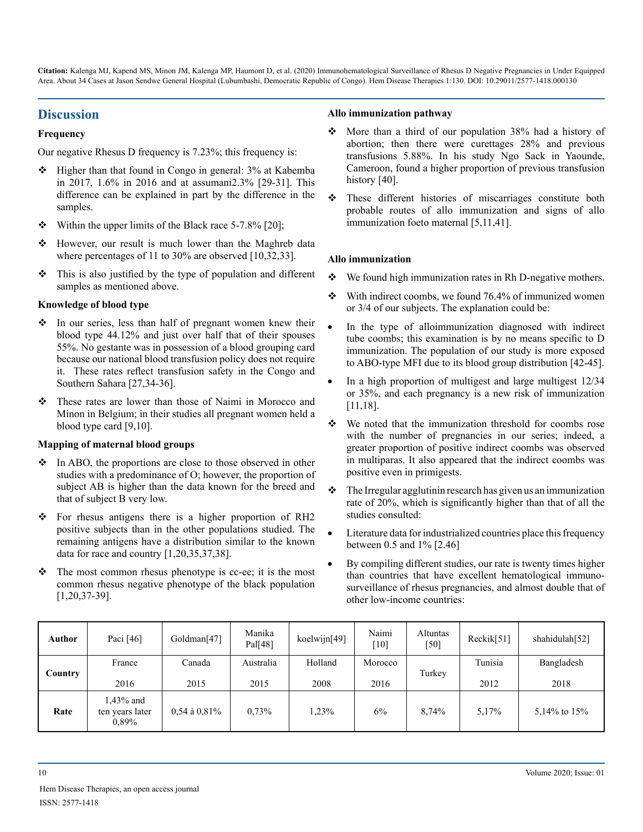# **Discussion**

#### **Frequency**

Our negative Rhesus D frequency is 7.23%; this frequency is:

- Higher than that found in Congo in general: 3% at Kabemba in 2017, 1.6% in 2016 and at assumani2.3% [29-31]. This difference can be explained in part by the difference in the samples.
- Within the upper limits of the Black race 5-7.8% [20];
- However, our result is much lower than the Maghreb data where percentages of 11 to 30% are observed [10,32,33].
- $\triangle$  This is also justified by the type of population and different samples as mentioned above.

#### **Knowledge of blood type**

- $\triangle$  In our series, less than half of pregnant women knew their blood type 44.12% and just over half that of their spouses 55%. No gestante was in possession of a blood grouping card because our national blood transfusion policy does not require it. These rates reflect transfusion safety in the Congo and Southern Sahara [27,34-36].
- These rates are lower than those of Naimi in Morocco and Minon in Belgium; in their studies all pregnant women held a blood type card [9,10].

#### **Mapping of maternal blood groups**

- In ABO, the proportions are close to those observed in other studies with a predominance of O; however, the proportion of subject AB is higher than the data known for the breed and that of subject B very low.
- For rhesus antigens there is a higher proportion of RH2 positive subjects than in the other populations studied. The remaining antigens have a distribution similar to the known data for race and country [1,20,35,37,38].
- $\triangle$  The most common rhesus phenotype is cc-ee; it is the most common rhesus negative phenotype of the black population [1,20,37-39].

#### **Allo immunization pathway**

- More than a third of our population 38% had a history of abortion; then there were curettages 28% and previous transfusions 5.88%. In his study Ngo Sack in Yaounde, Cameroon, found a higher proportion of previous transfusion history [40].
- These different histories of miscarriages constitute both probable routes of allo immunization and signs of allo immunization foeto maternal [5,11,41].

#### **Allo immunization**

- We found high immunization rates in Rh D-negative mothers.
- $\div$  With indirect coombs, we found 76.4% of immunized women or 3/4 of our subjects. The explanation could be:
- In the type of alloimmunization diagnosed with indirect tube coombs; this examination is by no means specific to D immunization. The population of our study is more exposed to ABO-type MFI due to its blood group distribution [42-45].
- In a high proportion of multigest and large multigest 12/34 or 35%, and each pregnancy is a new risk of immunization [11,18].
- $\div$  We noted that the immunization threshold for coombs rose with the number of pregnancies in our series; indeed, a greater proportion of positive indirect coombs was observed in multiparas. It also appeared that the indirect coombs was positive even in primigests.
- $\triangle$  The Irregular agglutinin research has given us an immunization rate of 20%, which is significantly higher than that of all the studies consulted:
- Literature data for industrialized countries place this frequency between 0.5 and 1% [2.46]
- By compiling different studies, our rate is twenty times higher than countries that have excellent hematological immunosurveillance of rhesus pregnancies, and almost double that of other low-income countries:

| Author  | Paci [46]                | Goldman[47]       | Manika<br>Pal[48] | koelwijn $[49]$ | Naimi<br>[10]   | Altuntas<br>$[50]$ | Reckik[51]      | shahidulah[52]     |
|---------|--------------------------|-------------------|-------------------|-----------------|-----------------|--------------------|-----------------|--------------------|
| Country | France<br>2016           | Canada<br>2015    | Australia<br>2015 | Holland<br>2008 | Morocco<br>2016 | Turkey             | Tunisia<br>2012 | Bangladesh<br>2018 |
|         | 1,43% and                |                   |                   |                 |                 |                    |                 |                    |
| Rate    | ten years later<br>0,89% | $0.54$ à $0.81\%$ | 0.73%             | 1,23%           | 6%              | 8,74%              | 5,17%           | 5,14% to 15%       |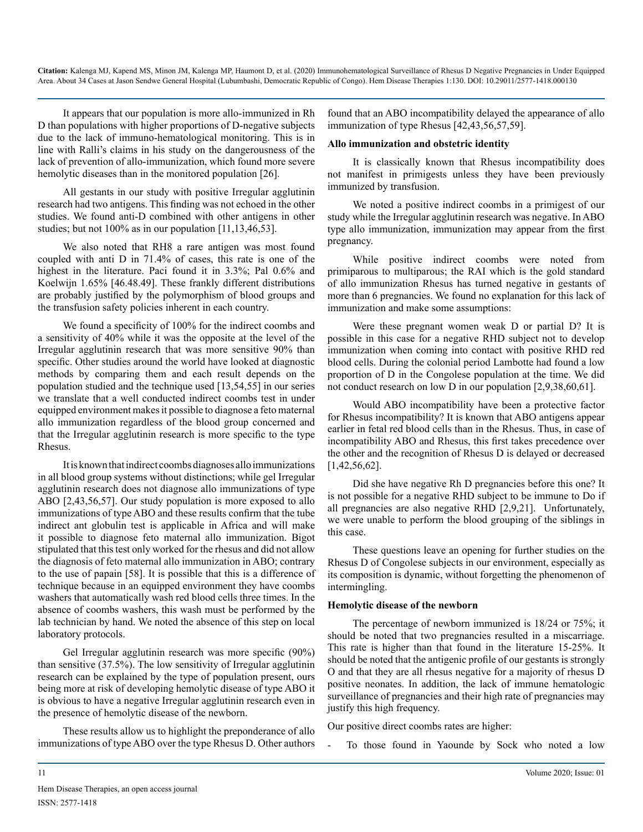It appears that our population is more allo-immunized in Rh D than populations with higher proportions of D-negative subjects due to the lack of immuno-hematological monitoring. This is in line with Ralli's claims in his study on the dangerousness of the lack of prevention of allo-immunization, which found more severe hemolytic diseases than in the monitored population [26].

All gestants in our study with positive Irregular agglutinin research had two antigens. This finding was not echoed in the other studies. We found anti-D combined with other antigens in other studies; but not 100% as in our population [11,13,46,53].

We also noted that RH8 a rare antigen was most found coupled with anti D in 71.4% of cases, this rate is one of the highest in the literature. Paci found it in 3.3%; Pal 0.6% and Koelwijn 1.65% [46.48.49]. These frankly different distributions are probably justified by the polymorphism of blood groups and the transfusion safety policies inherent in each country.

We found a specificity of 100% for the indirect coombs and a sensitivity of 40% while it was the opposite at the level of the Irregular agglutinin research that was more sensitive 90% than specific. Other studies around the world have looked at diagnostic methods by comparing them and each result depends on the population studied and the technique used [13,54,55] in our series we translate that a well conducted indirect coombs test in under equipped environment makes it possible to diagnose a feto maternal allo immunization regardless of the blood group concerned and that the Irregular agglutinin research is more specific to the type Rhesus.

It is known that indirect coombs diagnoses allo immunizations in all blood group systems without distinctions; while gel Irregular agglutinin research does not diagnose allo immunizations of type ABO [2,43,56,57]. Our study population is more exposed to allo immunizations of type ABO and these results confirm that the tube indirect ant globulin test is applicable in Africa and will make it possible to diagnose feto maternal allo immunization. Bigot stipulated that this test only worked for the rhesus and did not allow the diagnosis of feto maternal allo immunization in ABO; contrary to the use of papain [58]. It is possible that this is a difference of technique because in an equipped environment they have coombs washers that automatically wash red blood cells three times. In the absence of coombs washers, this wash must be performed by the lab technician by hand. We noted the absence of this step on local laboratory protocols.

Gel Irregular agglutinin research was more specific (90%) than sensitive (37.5%). The low sensitivity of Irregular agglutinin research can be explained by the type of population present, ours being more at risk of developing hemolytic disease of type ABO it is obvious to have a negative Irregular agglutinin research even in the presence of hemolytic disease of the newborn.

These results allow us to highlight the preponderance of allo immunizations of type ABO over the type Rhesus D. Other authors found that an ABO incompatibility delayed the appearance of allo immunization of type Rhesus [42,43,56,57,59].

#### **Allo immunization and obstetric identity**

It is classically known that Rhesus incompatibility does not manifest in primigests unless they have been previously immunized by transfusion.

We noted a positive indirect coombs in a primigest of our study while the Irregular agglutinin research was negative. In ABO type allo immunization, immunization may appear from the first pregnancy.

While positive indirect coombs were noted from primiparous to multiparous; the RAI which is the gold standard of allo immunization Rhesus has turned negative in gestants of more than 6 pregnancies. We found no explanation for this lack of immunization and make some assumptions:

Were these pregnant women weak D or partial D? It is possible in this case for a negative RHD subject not to develop immunization when coming into contact with positive RHD red blood cells. During the colonial period Lambotte had found a low proportion of D in the Congolese population at the time. We did not conduct research on low D in our population [2,9,38,60,61].

Would ABO incompatibility have been a protective factor for Rhesus incompatibility? It is known that ABO antigens appear earlier in fetal red blood cells than in the Rhesus. Thus, in case of incompatibility ABO and Rhesus, this first takes precedence over the other and the recognition of Rhesus D is delayed or decreased [1,42,56,62].

Did she have negative Rh D pregnancies before this one? It is not possible for a negative RHD subject to be immune to Do if all pregnancies are also negative RHD [2,9,21]. Unfortunately, we were unable to perform the blood grouping of the siblings in this case.

These questions leave an opening for further studies on the Rhesus D of Congolese subjects in our environment, especially as its composition is dynamic, without forgetting the phenomenon of intermingling.

#### **Hemolytic disease of the newborn**

The percentage of newborn immunized is 18/24 or 75%; it should be noted that two pregnancies resulted in a miscarriage. This rate is higher than that found in the literature 15-25%. It should be noted that the antigenic profile of our gestants is strongly O and that they are all rhesus negative for a majority of rhesus D positive neonates. In addition, the lack of immune hematologic surveillance of pregnancies and their high rate of pregnancies may justify this high frequency.

Our positive direct coombs rates are higher:

- To those found in Yaounde by Sock who noted a low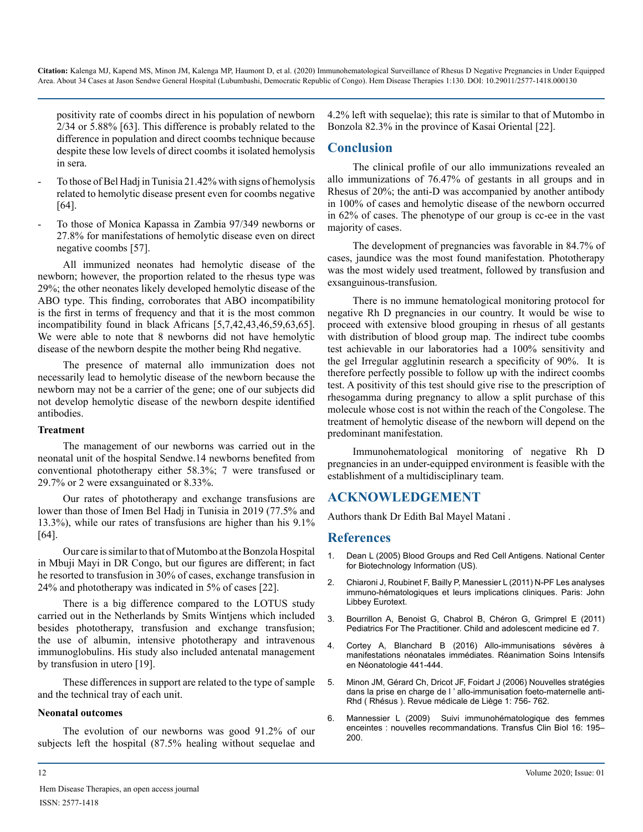positivity rate of coombs direct in his population of newborn 2/34 or 5.88% [63]. This difference is probably related to the difference in population and direct coombs technique because despite these low levels of direct coombs it isolated hemolysis in sera.

- To those of Bel Hadj in Tunisia 21.42% with signs of hemolysis related to hemolytic disease present even for coombs negative [64].
- To those of Monica Kapassa in Zambia 97/349 newborns or 27.8% for manifestations of hemolytic disease even on direct negative coombs [57].

All immunized neonates had hemolytic disease of the newborn; however, the proportion related to the rhesus type was 29%; the other neonates likely developed hemolytic disease of the ABO type. This finding, corroborates that ABO incompatibility is the first in terms of frequency and that it is the most common incompatibility found in black Africans [5,7,42,43,46,59,63,65]. We were able to note that 8 newborns did not have hemolytic disease of the newborn despite the mother being Rhd negative.

The presence of maternal allo immunization does not necessarily lead to hemolytic disease of the newborn because the newborn may not be a carrier of the gene; one of our subjects did not develop hemolytic disease of the newborn despite identified antibodies.

#### **Treatment**

The management of our newborns was carried out in the neonatal unit of the hospital Sendwe.14 newborns benefited from conventional phototherapy either 58.3%; 7 were transfused or 29.7% or 2 were exsanguinated or 8.33%.

Our rates of phototherapy and exchange transfusions are lower than those of Imen Bel Hadj in Tunisia in 2019 (77.5% and 13.3%), while our rates of transfusions are higher than his 9.1% [64].

Our care is similar to that of Mutombo at the Bonzola Hospital in Mbuji Mayi in DR Congo, but our figures are different; in fact he resorted to transfusion in 30% of cases, exchange transfusion in 24% and phototherapy was indicated in 5% of cases [22].

There is a big difference compared to the LOTUS study carried out in the Netherlands by Smits Wintjens which included besides phototherapy, transfusion and exchange transfusion; the use of albumin, intensive phototherapy and intravenous immunoglobulins. His study also included antenatal management by transfusion in utero [19].

These differences in support are related to the type of sample and the technical tray of each unit.

#### **Neonatal outcomes**

The evolution of our newborns was good 91.2% of our subjects left the hospital (87.5% healing without sequelae and

4.2% left with sequelae); this rate is similar to that of Mutombo in Bonzola 82.3% in the province of Kasai Oriental [22].

# **Conclusion**

The clinical profile of our allo immunizations revealed an allo immunizations of 76.47% of gestants in all groups and in Rhesus of 20%; the anti-D was accompanied by another antibody in 100% of cases and hemolytic disease of the newborn occurred in 62% of cases. The phenotype of our group is cc-ee in the vast majority of cases.

The development of pregnancies was favorable in 84.7% of cases, jaundice was the most found manifestation. Phototherapy was the most widely used treatment, followed by transfusion and exsanguinous-transfusion.

There is no immune hematological monitoring protocol for negative Rh D pregnancies in our country. It would be wise to proceed with extensive blood grouping in rhesus of all gestants with distribution of blood group map. The indirect tube coombs test achievable in our laboratories had a 100% sensitivity and the gel Irregular agglutinin research a specificity of 90%. It is therefore perfectly possible to follow up with the indirect coombs test. A positivity of this test should give rise to the prescription of rhesogamma during pregnancy to allow a split purchase of this molecule whose cost is not within the reach of the Congolese. The treatment of hemolytic disease of the newborn will depend on the predominant manifestation.

Immunohematological monitoring of negative Rh D pregnancies in an under-equipped environment is feasible with the establishment of a multidisciplinary team.

#### **ACKNOWLEDGEMENT**

Authors thank Dr Edith Bal Mayel Matani .

#### **References**

- 1. [Dean L \(2005\) Blood Groups and Red Cell Antigens. National Center](https://www.ncbi.nlm.nih.gov/books/NBK2261/)  [for Biotechnology Information \(US\).](https://www.ncbi.nlm.nih.gov/books/NBK2261/)
- 2. Chiaroni J, Roubinet F, Bailly P, Manessier L (2011) N-PF Les analyses immuno-hématologiques et leurs implications cliniques. Paris: John Libbey Eurotext.
- 3. [Bourrillon A, Benoist G, Chabrol B, Chéron G, Grimprel E \(2011\)](https://www.elsevier-masson.fr/pediatrie-pour-le-praticien-9782294760686.html)  [Pediatrics For The Practitioner. Child and adolescent medicine ed 7.](https://www.elsevier-masson.fr/pediatrie-pour-le-praticien-9782294760686.html)
- 4. [Cortey A, Blanchard B \(2016\) Allo-immunisations sévères à](https://www.sciencedirect.com/science/article/pii/B9782294739972000675)  [manifestations néonatales immédiates. Réanimation Soins Intensifs](https://www.sciencedirect.com/science/article/pii/B9782294739972000675)  [en Néonatologie 441-444.](https://www.sciencedirect.com/science/article/pii/B9782294739972000675)
- 5. [Minon JM, Gérard Ch, Dricot JF, Foidart J \(2006\) Nouvelles stratégies](https://www.researchgate.net/publication/277074552_Nouvelles_strategies_dans_la_prise_en_charge_de_l)  [dans la prise en charge de l ' allo-immunisation foeto-maternelle anti-](https://www.researchgate.net/publication/277074552_Nouvelles_strategies_dans_la_prise_en_charge_de_l)[Rhd \( Rhésus \). Revue médicale de Liège 1: 756- 762.](https://www.researchgate.net/publication/277074552_Nouvelles_strategies_dans_la_prise_en_charge_de_l)
- 6. [Mannessier L \(2009\) Suivi immunohématologique des femmes](https://www.sciencedirect.com/science/article/pii/S1246782009000688)  enceintes [: nouvelles recommandations. Transfus Clin Biol 16: 195–](https://www.sciencedirect.com/science/article/pii/S1246782009000688) [200.](https://www.sciencedirect.com/science/article/pii/S1246782009000688)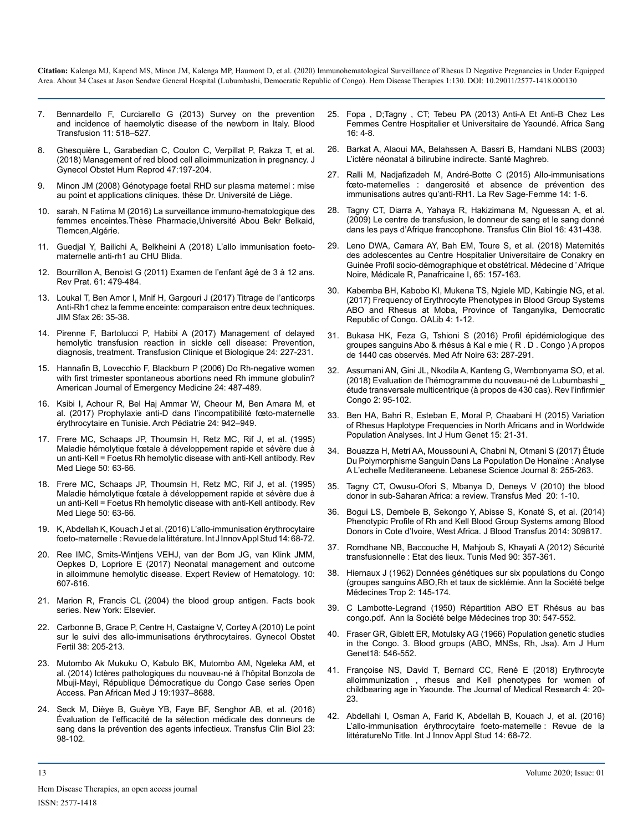- 7. [Bennardello F, Curciarello G \(2013\) Survey on the prevention](https://www.ncbi.nlm.nih.gov/pmc/articles/PMC3827395/)  [and incidence of haemolytic disease of the newborn in Italy. Blood](https://www.ncbi.nlm.nih.gov/pmc/articles/PMC3827395/)  [Transfusion 11: 518–527.](https://www.ncbi.nlm.nih.gov/pmc/articles/PMC3827395/)
- 8. [Ghesquière L, Garabedian C, Coulon C, Verpillat P, Rakza T, et al.](https://pubmed.ncbi.nlm.nih.gov/29476829/)  [\(2018\) Management of red blood cell alloimmunization in pregnancy. J](https://pubmed.ncbi.nlm.nih.gov/29476829/)  [Gynecol Obstet Hum Reprod 47:197-204.](https://pubmed.ncbi.nlm.nih.gov/29476829/)
- [Minon JM \(2008\) Génotypage foetal RHD sur plasma maternel](https://core.ac.uk/display/58880950) : mise [au point et applications cliniques. thèse Dr. Université de Liège.](https://core.ac.uk/display/58880950)
- 10. [sarah, N Fatima M \(2016\) La surveillance immuno-hematologique des](http://dspace.univ-tlemcen.dz/handle/112/9400)  [femmes enceintes.Thèse Pharmacie,Université Abou Bekr Belkaid,](http://dspace.univ-tlemcen.dz/handle/112/9400)  [Tlemcen,Algérie.](http://dspace.univ-tlemcen.dz/handle/112/9400)
- 11. [Guedjal Y, Bailichi A, Belkheini A \(2018\) L'allo immunisation foeto](http://di.univ-blida.dz:8080/xmlui/handle/123456789/682)[maternelle anti-rh1 au CHU Blida.](http://di.univ-blida.dz:8080/xmlui/handle/123456789/682)
- 12. Bourrillon A, Benoist G (2011) Examen de l'enfant âgé de 3 à 12 ans. Rev Prat. 61: 479-484.
- 13. [Loukal T, Ben Amor I, Mnif H, Gargouri J \(2017\) Titrage de l'anticorps](http://www.medecinesfax.org/useruploads/files/article05-26.pdf) [Anti-Rh1 chez la femme enceinte: comparaison entre deux techniques.](http://www.medecinesfax.org/useruploads/files/article05-26.pdf)  [JIM Sfax 26: 35-38.](http://www.medecinesfax.org/useruploads/files/article05-26.pdf)
- 14. [Pirenne F, Bartolucci P, Habibi A \(2017\) Management of delayed](https://pubmed.ncbi.nlm.nih.gov/28669521/)  [hemolytic transfusion reaction in sickle cell disease: Prevention,](https://pubmed.ncbi.nlm.nih.gov/28669521/)  [diagnosis, treatment. Transfusion Clinique et Biologique 24: 227-231.](https://pubmed.ncbi.nlm.nih.gov/28669521/)
- 15. [Hannafin B, Lovecchio F, Blackburn P \(2006\) Do Rh-negative women](https://pubmed.ncbi.nlm.nih.gov/16787810/)  [with first trimester spontaneous abortions need Rh immune globulin?](https://pubmed.ncbi.nlm.nih.gov/16787810/)  [American Journal of Emergency Medicine 24: 487-489.](https://pubmed.ncbi.nlm.nih.gov/16787810/)
- 16. [Ksibi I, Achour R, Bel Haj Ammar W, Cheour M, Ben Amara M, et](https://www.sciencedirect.com/science/article/abs/pii/S0929693X17303019)  [al. \(2017\) Prophylaxie anti-D dans l'incompatibilité fœto-maternelle](https://www.sciencedirect.com/science/article/abs/pii/S0929693X17303019)  [érythrocytaire en Tunisie. Arch Pédiatrie 24: 942–949.](https://www.sciencedirect.com/science/article/abs/pii/S0929693X17303019)
- 17. [Frere MC, Schaaps JP, Thoumsin H, Retz MC, Rif J, et al. \(1995\)](https://www.sciencedirect.com/science/article/abs/pii/S0929693X17303019)  [Maladie hémolytique fœtale à développement rapide et sévère due à](https://www.sciencedirect.com/science/article/abs/pii/S0929693X17303019)  [un anti-Kell = Foetus Rh hemolytic disease with anti-Kell antibody. Rev](https://www.sciencedirect.com/science/article/abs/pii/S0929693X17303019)  [Med Liege 50: 63-66.](https://www.sciencedirect.com/science/article/abs/pii/S0929693X17303019)
- 18. [Frere MC, Schaaps JP, Thoumsin H, Retz MC, Rif J, et al. \(1995\)](https://www.sciencedirect.com/science/article/abs/pii/S0929693X17303019)  [Maladie hémolytique fœtale à développement rapide et sévère due à](https://www.sciencedirect.com/science/article/abs/pii/S0929693X17303019)  [un anti-Kell = Foetus Rh hemolytic disease with anti-Kell antibody. Rev](https://www.sciencedirect.com/science/article/abs/pii/S0929693X17303019)  [Med Liege 50: 63-66.](https://www.sciencedirect.com/science/article/abs/pii/S0929693X17303019)
- 19. K, Abdellah K, Kouach J et al. (2016) L'allo-immunisation érythrocytaire foeto-maternelle : Revue de la littérature. Int J Innov Appl Stud 14: 68-72.
- 20. [Ree IMC, Smits-Wintjens VEHJ, van der Bom JG, van Klink JMM,](https://pubmed.ncbi.nlm.nih.gov/28503958/)  [Oepkes D, Lopriore E \(2017\) Neonatal management and outcome](https://pubmed.ncbi.nlm.nih.gov/28503958/)  [in alloimmune hemolytic disease. Expert Review of Hematology. 10:](https://pubmed.ncbi.nlm.nih.gov/28503958/)  [607-616.](https://pubmed.ncbi.nlm.nih.gov/28503958/)
- 21. [Marion R, Francis CL \(2004\) the blood group antigen. Facts book](https://www.elsevier.com/books/the-blood-group-antigen-factsbook/reid/978-0-12-586585-2)  [series. New York: Elsevier.](https://www.elsevier.com/books/the-blood-group-antigen-factsbook/reid/978-0-12-586585-2)
- 22. [Carbonne B, Grace P, Centre H, Castaigne V, Cortey A \(2010\) Le point](https://www.sciencedirect.com/science/article/abs/pii/S1297958910000184)  [sur le suivi des allo-immunisations érythrocytaires. Gynecol Obstet](https://www.sciencedirect.com/science/article/abs/pii/S1297958910000184)  [Fertil 38: 205-213.](https://www.sciencedirect.com/science/article/abs/pii/S1297958910000184)
- 23. [Mutombo Ak Mukuku O, Kabulo BK, Mutombo AM, Ngeleka AM, et](https://www.ncbi.nlm.nih.gov/pmc/articles/PMC4393955/) [al. \(2014\) Ictères pathologiques du nouveau-né à l'hôpital Bonzola de](https://www.ncbi.nlm.nih.gov/pmc/articles/PMC4393955/)  [Mbuji-Mayi, République Démocratique du Congo Case series Open](https://www.ncbi.nlm.nih.gov/pmc/articles/PMC4393955/)  [Access. Pan African Med J 19:1937–8688.](https://www.ncbi.nlm.nih.gov/pmc/articles/PMC4393955/)
- 24. [Seck M, Dièye B, Guèye YB, Faye BF, Senghor AB, et al. \(2016\)](https://www.sciencedirect.com/science/article/pii/S124678201500405X) [Évaluation de l'efficacité de la sélection médicale des donneurs de](https://www.sciencedirect.com/science/article/pii/S124678201500405X)  [sang dans la prévention des agents infectieux. Transfus Clin Biol 23:](https://www.sciencedirect.com/science/article/pii/S124678201500405X)  [98-102.](https://www.sciencedirect.com/science/article/pii/S124678201500405X)
- 25. Fopa , D;Tagny , CT; Tebeu PA (2013) Anti-A Et Anti-B Chez Les Femmes Centre Hospitalier et Universitaire de Yaoundé. Africa Sang  $16: 4-8$
- 26. Barkat A, Alaoui MA, Belahssen A, Bassri B, Hamdani NLBS (2003) L'ictère néonatal à bilirubine indirecte. Santé Maghreb.
- 27. [Ralli M, Nadjafizadeh M, André-Botte C \(2015\) Allo-immunisations](https://www.sciencedirect.com/science/article/abs/pii/S1637408814001369)  fœto-maternelles [: dangerosité et absence de prévention des](https://www.sciencedirect.com/science/article/abs/pii/S1637408814001369)  [immunisations autres qu'anti-RH1. La Rev Sage-Femme 14: 1-6.](https://www.sciencedirect.com/science/article/abs/pii/S1637408814001369)
- 28. [Tagny CT, Diarra A, Yahaya R, Hakizimana M, Nguessan A, et al.](https://www.sciencedirect.com/science/article/pii/S124678200900130X)  [\(2009\) Le centre de transfusion, le donneur de sang et le sang donné](https://www.sciencedirect.com/science/article/pii/S124678200900130X)  [dans les pays d'Afrique francophone. Transfus Clin Biol 16: 431-438.](https://www.sciencedirect.com/science/article/pii/S124678200900130X)
- 29. Leno DWA, Camara AY, Bah EM, Toure S, et al. (2018) Maternités des adolescentes au Centre Hospitalier Universitaire de Conakry en Guinée Profil socio-démographique et obstétrical. Médecine d ' Afrique Noire, Médicale R, Panafricaine I, 65: 157-163.
- 30. [Kabemba BH, Kabobo KI, Mukena TS, Ngiele MD, Kabingie NG, et al.](http://www.oalib.com/articles/5282535)  [\(2017\) Frequency of Erythrocyte Phenotypes in Blood Group Systems](http://www.oalib.com/articles/5282535) [ABO and Rhesus at Moba, Province of Tanganyika, Democratic](http://www.oalib.com/articles/5282535)  [Republic of Congo. OALib 4: 1-12.](http://www.oalib.com/articles/5282535)
- 31. Bukasa HK, Feza G, Tshioni S (2016) Profil épidémiologique des groupes sanguins Abo & rhésus à Kal e mie ( R . D . Congo ) A propos de 1440 cas observés. Med Afr Noire 63: 287-291.
- 32. [Assumani AN, Gini JL, Nkodila A, Kanteng G, Wembonyama SO, et al.](https://www.revue.istmlubumbashi.net/author/ric/page/2/)  [\(2018\) Evaluation de l'hémogramme du nouveau-né de Lubumbashi \\_](https://www.revue.istmlubumbashi.net/author/ric/page/2/)  [étude transversale multicentrique \(à propos de 430 cas\). Rev l'infirmier](https://www.revue.istmlubumbashi.net/author/ric/page/2/)  [Congo 2: 95-102.](https://www.revue.istmlubumbashi.net/author/ric/page/2/)
- 33. [Ben HA, Bahri R, Esteban E, Moral P, Chaabani H \(2015\) Variation](https://www.rhesusnegative.net/staynegative/wp-content/uploads/2017/09/xx21562.pdf)  [of Rhesus Haplotype Frequencies in North Africans and in Worldwide](https://www.rhesusnegative.net/staynegative/wp-content/uploads/2017/09/xx21562.pdf)  [Population Analyses. Int J Hum Genet 15: 21-31.](https://www.rhesusnegative.net/staynegative/wp-content/uploads/2017/09/xx21562.pdf)
- 34. [Bouazza H, Metri AA, Moussouni A, Chabni N, Otmani S \(2017\) Étude](http://lsj.cnrs.edu.lb/wp-content/uploads/2017/12/Hayet-Bouazza.pdf) [Du Polymorphisme Sanguin Dans La Population De Honaïne](http://lsj.cnrs.edu.lb/wp-content/uploads/2017/12/Hayet-Bouazza.pdf) : Analyse [A L'echelle Mediteraneene. Lebanese Science Journal 8: 255-263.](http://lsj.cnrs.edu.lb/wp-content/uploads/2017/12/Hayet-Bouazza.pdf)
- 35. [Tagny CT, Owusu-Ofori S, Mbanya D, Deneys V \(2010\) the blood](https://pubmed.ncbi.nlm.nih.gov/19725906/)  [donor in sub-Saharan Africa: a review. Transfus Med 20: 1-10.](https://pubmed.ncbi.nlm.nih.gov/19725906/)
- 36. [Bogui LS, Dembele B, Sekongo Y, Abisse S, Konaté S, et al. \(2014\)](https://www.ncbi.nlm.nih.gov/pmc/articles/PMC4189989/)  [Phenotypic Profile of Rh and Kell Blood Group Systems among Blood](https://www.ncbi.nlm.nih.gov/pmc/articles/PMC4189989/)  [Donors in Cote d'Ivoire, West Africa. J Blood Transfus 2014: 309817.](https://www.ncbi.nlm.nih.gov/pmc/articles/PMC4189989/)
- 37. [Romdhane NB, Baccouche H, Mahjoub S, Khayati A \(2012\) Sécurité](https://applications.emro.who.int/imemrf/Tunisie_Med/Tunisie_Med_2012_90_5_357_361.pdf)  transfusionnelle [: Etat des lieux. Tunis Med 90: 357-361.](https://applications.emro.who.int/imemrf/Tunisie_Med/Tunisie_Med_2012_90_5_357_361.pdf)
- 38. [Hiernaux J \(1962\) Données génétiques sur six populations du Congo](https://www.jstor.org/stable/2739848?seq=1)  [\(groupes sanguins ABO,Rh et taux de sicklémie. Ann la Société belge](https://www.jstor.org/stable/2739848?seq=1)  [Médecines Trop 2: 145-174.](https://www.jstor.org/stable/2739848?seq=1)
- 39. [C Lambotte-Legrand \(1950\) Répartition ABO ET Rhésus au bas](https://www.currentschoolnews.com/fr/projets-actuels/r%C3%A9partition-des-groupes-sanguins-abo-et-rh-d-et-des-traits-associ%C3%A9s/)  [congo.pdf. Ann la Société belge Médecines trop 30: 547-552.](https://www.currentschoolnews.com/fr/projets-actuels/r%C3%A9partition-des-groupes-sanguins-abo-et-rh-d-et-des-traits-associ%C3%A9s/)
- 40. [Fraser GR, Giblett ER, Motulsky AG \(1966\) Population genetic studies](https://www.ncbi.nlm.nih.gov/pmc/articles/PMC1706205/?tool=pmcentrez&report=abstract)  [in the Congo. 3. Blood groups \(ABO, MNSs, Rh, Jsa\). Am J Hum](https://www.ncbi.nlm.nih.gov/pmc/articles/PMC1706205/?tool=pmcentrez&report=abstract) [Genet18: 546-552.](https://www.ncbi.nlm.nih.gov/pmc/articles/PMC1706205/?tool=pmcentrez&report=abstract)
- 41. [Françoise NS, David T, Bernard CC, René E \(2018\) Erythrocyte](http://www.medicinearticle.com/JMR_20181_06.pdf)  [alloimmunization , rhesus and Kell phenotypes for women of](http://www.medicinearticle.com/JMR_20181_06.pdf)  [childbearing age in Yaounde. The Journal of Medical Research 4: 20-](http://www.medicinearticle.com/JMR_20181_06.pdf) [23.](http://www.medicinearticle.com/JMR_20181_06.pdf)
- 42. [Abdellahi I, Osman A, Farid K, Abdellah B, Kouach J, et al. \(2016\)](https://www.researchgate.net/publication/232415011_Les_allo-immunisations_foeto-maternelles_anti-erythrocytaires_etat_de_l)  [L'allo-immunisation érythrocytaire foeto-maternelle](https://www.researchgate.net/publication/232415011_Les_allo-immunisations_foeto-maternelles_anti-erythrocytaires_etat_de_l) : Revue de la [littératureNo Title. Int J Innov Appl Stud 14: 68-72.](https://www.researchgate.net/publication/232415011_Les_allo-immunisations_foeto-maternelles_anti-erythrocytaires_etat_de_l)